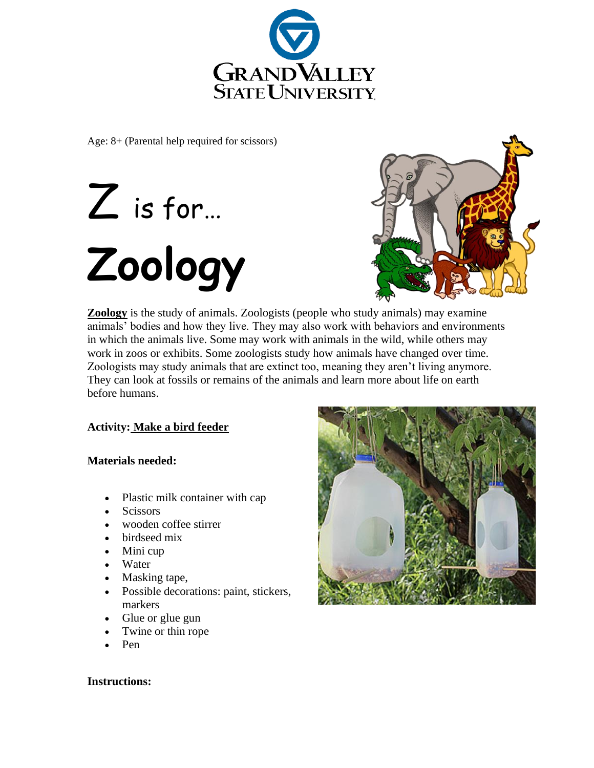

Age: 8+ (Parental help required for scissors)

# Z is for… **Zoology**



**Zoology** is the study of animals. Zoologists (people who study animals) may examine animals' bodies and how they live. They may also work with behaviors and environments in which the animals live. Some may work with animals in the wild, while others may work in zoos or exhibits. Some zoologists study how animals have changed over time. Zoologists may study animals that are extinct too, meaning they aren't living anymore. They can look at fossils or remains of the animals and learn more about life on earth before humans.

# **Activity: Make a bird feeder**

### **Materials needed:**

- Plastic milk container with cap
- **Scissors**
- wooden coffee stirrer
- birdseed mix
- Mini cup
- Water
- Masking tape,
- Possible decorations: paint, stickers, markers
- Glue or glue gun
- Twine or thin rope
- Pen



### **Instructions:**